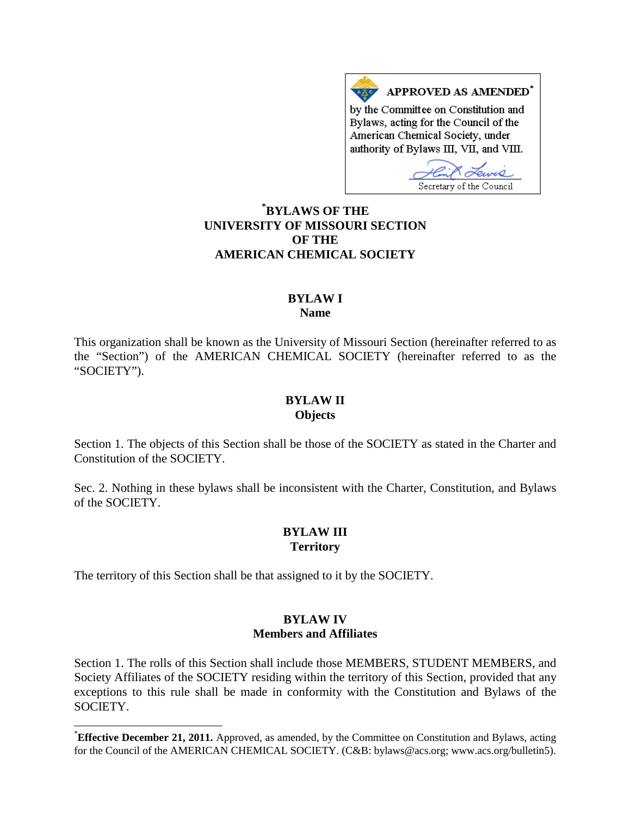APPROVED AS AMENDED<sup>\*</sup> by the Committee on Constitution and Bylaws, acting for the Council of the American Chemical Society, under authority of Bylaws III, VII, and VIII.

Secretary of the Council

# **[\\*](#page-0-0) BYLAWS OF THE UNIVERSITY OF MISSOURI SECTION OF THE AMERICAN CHEMICAL SOCIETY**

### **BYLAW I Name**

This organization shall be known as the University of Missouri Section (hereinafter referred to as the "Section") of the AMERICAN CHEMICAL SOCIETY (hereinafter referred to as the "SOCIETY").

#### **BYLAW II Objects**

Section 1. The objects of this Section shall be those of the SOCIETY as stated in the Charter and Constitution of the SOCIETY.

Sec. 2. Nothing in these bylaws shall be inconsistent with the Charter, Constitution, and Bylaws of the SOCIETY.

# **BYLAW III Territory**

The territory of this Section shall be that assigned to it by the SOCIETY.

# **BYLAW IV Members and Affiliates**

Section 1. The rolls of this Section shall include those MEMBERS, STUDENT MEMBERS, and Society Affiliates of the SOCIETY residing within the territory of this Section, provided that any exceptions to this rule shall be made in conformity with the Constitution and Bylaws of the SOCIETY.

<span id="page-0-0"></span>**Effective December 21, 2011.** Approved, as amended, by the Committee on Constitution and Bylaws, acting for the Council of the AMERICAN CHEMICAL SOCIETY. (C&B: bylaws@acs.org; www.acs.org/bulletin5).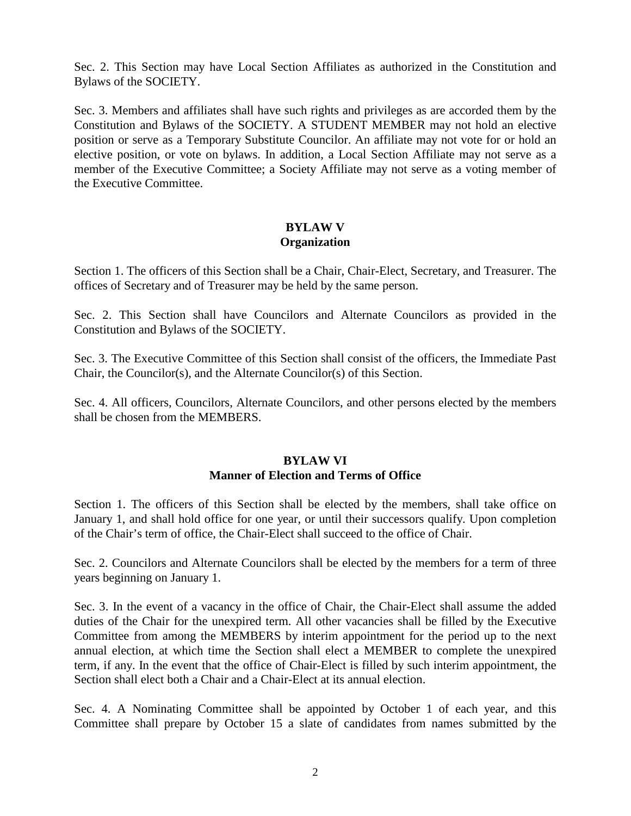Sec. 2. This Section may have Local Section Affiliates as authorized in the Constitution and Bylaws of the SOCIETY.

Sec. 3. Members and affiliates shall have such rights and privileges as are accorded them by the Constitution and Bylaws of the SOCIETY. A STUDENT MEMBER may not hold an elective position or serve as a Temporary Substitute Councilor. An affiliate may not vote for or hold an elective position, or vote on bylaws. In addition, a Local Section Affiliate may not serve as a member of the Executive Committee; a Society Affiliate may not serve as a voting member of the Executive Committee.

# **BYLAW V Organization**

Section 1. The officers of this Section shall be a Chair, Chair-Elect, Secretary, and Treasurer. The offices of Secretary and of Treasurer may be held by the same person.

Sec. 2. This Section shall have Councilors and Alternate Councilors as provided in the Constitution and Bylaws of the SOCIETY.

Sec. 3. The Executive Committee of this Section shall consist of the officers, the Immediate Past Chair, the Councilor(s), and the Alternate Councilor(s) of this Section.

Sec. 4. All officers, Councilors, Alternate Councilors, and other persons elected by the members shall be chosen from the MEMBERS.

# **BYLAW VI Manner of Election and Terms of Office**

Section 1. The officers of this Section shall be elected by the members, shall take office on January 1, and shall hold office for one year, or until their successors qualify. Upon completion of the Chair's term of office, the Chair-Elect shall succeed to the office of Chair.

Sec. 2. Councilors and Alternate Councilors shall be elected by the members for a term of three years beginning on January 1.

Sec. 3. In the event of a vacancy in the office of Chair, the Chair-Elect shall assume the added duties of the Chair for the unexpired term. All other vacancies shall be filled by the Executive Committee from among the MEMBERS by interim appointment for the period up to the next annual election, at which time the Section shall elect a MEMBER to complete the unexpired term, if any. In the event that the office of Chair-Elect is filled by such interim appointment, the Section shall elect both a Chair and a Chair-Elect at its annual election.

Sec. 4. A Nominating Committee shall be appointed by October 1 of each year, and this Committee shall prepare by October 15 a slate of candidates from names submitted by the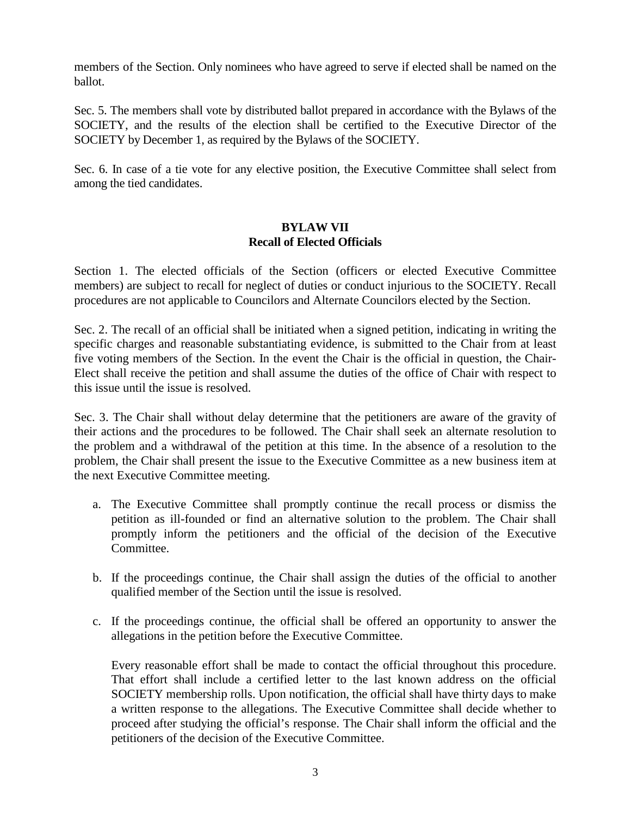members of the Section. Only nominees who have agreed to serve if elected shall be named on the ballot.

Sec. 5. The members shall vote by distributed ballot prepared in accordance with the Bylaws of the SOCIETY, and the results of the election shall be certified to the Executive Director of the SOCIETY by December 1, as required by the Bylaws of the SOCIETY.

Sec. 6. In case of a tie vote for any elective position, the Executive Committee shall select from among the tied candidates.

## **BYLAW VII Recall of Elected Officials**

Section 1. The elected officials of the Section (officers or elected Executive Committee members) are subject to recall for neglect of duties or conduct injurious to the SOCIETY. Recall procedures are not applicable to Councilors and Alternate Councilors elected by the Section.

Sec. 2. The recall of an official shall be initiated when a signed petition, indicating in writing the specific charges and reasonable substantiating evidence, is submitted to the Chair from at least five voting members of the Section. In the event the Chair is the official in question, the Chair-Elect shall receive the petition and shall assume the duties of the office of Chair with respect to this issue until the issue is resolved.

Sec. 3. The Chair shall without delay determine that the petitioners are aware of the gravity of their actions and the procedures to be followed. The Chair shall seek an alternate resolution to the problem and a withdrawal of the petition at this time. In the absence of a resolution to the problem, the Chair shall present the issue to the Executive Committee as a new business item at the next Executive Committee meeting.

- a. The Executive Committee shall promptly continue the recall process or dismiss the petition as ill-founded or find an alternative solution to the problem. The Chair shall promptly inform the petitioners and the official of the decision of the Executive Committee.
- b. If the proceedings continue, the Chair shall assign the duties of the official to another qualified member of the Section until the issue is resolved.
- c. If the proceedings continue, the official shall be offered an opportunity to answer the allegations in the petition before the Executive Committee.

Every reasonable effort shall be made to contact the official throughout this procedure. That effort shall include a certified letter to the last known address on the official SOCIETY membership rolls. Upon notification, the official shall have thirty days to make a written response to the allegations. The Executive Committee shall decide whether to proceed after studying the official's response. The Chair shall inform the official and the petitioners of the decision of the Executive Committee.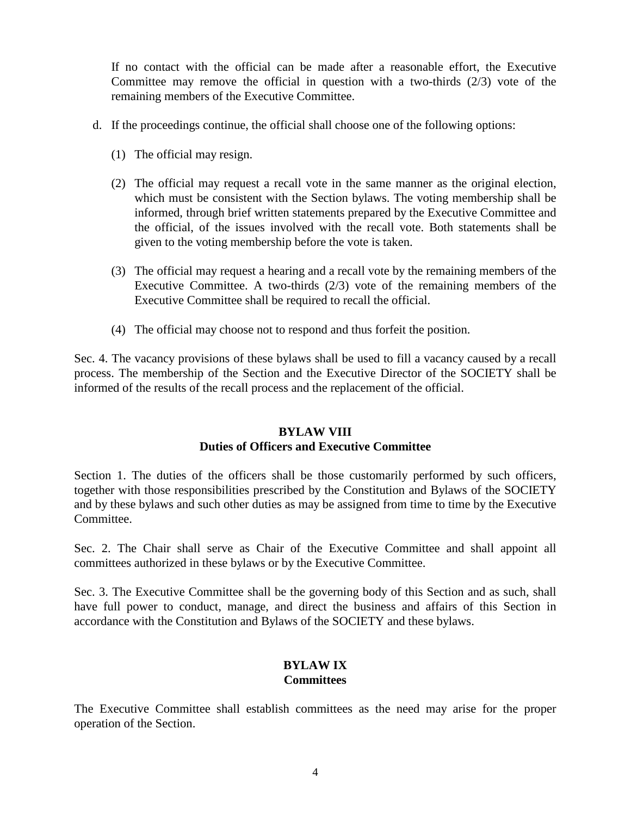If no contact with the official can be made after a reasonable effort, the Executive Committee may remove the official in question with a two-thirds (2/3) vote of the remaining members of the Executive Committee.

- d. If the proceedings continue, the official shall choose one of the following options:
	- (1) The official may resign.
	- (2) The official may request a recall vote in the same manner as the original election, which must be consistent with the Section bylaws. The voting membership shall be informed, through brief written statements prepared by the Executive Committee and the official, of the issues involved with the recall vote. Both statements shall be given to the voting membership before the vote is taken.
	- (3) The official may request a hearing and a recall vote by the remaining members of the Executive Committee. A two-thirds (2/3) vote of the remaining members of the Executive Committee shall be required to recall the official.
	- (4) The official may choose not to respond and thus forfeit the position.

Sec. 4. The vacancy provisions of these bylaws shall be used to fill a vacancy caused by a recall process. The membership of the Section and the Executive Director of the SOCIETY shall be informed of the results of the recall process and the replacement of the official.

#### **BYLAW VIII Duties of Officers and Executive Committee**

Section 1. The duties of the officers shall be those customarily performed by such officers, together with those responsibilities prescribed by the Constitution and Bylaws of the SOCIETY and by these bylaws and such other duties as may be assigned from time to time by the Executive Committee.

Sec. 2. The Chair shall serve as Chair of the Executive Committee and shall appoint all committees authorized in these bylaws or by the Executive Committee.

Sec. 3. The Executive Committee shall be the governing body of this Section and as such, shall have full power to conduct, manage, and direct the business and affairs of this Section in accordance with the Constitution and Bylaws of the SOCIETY and these bylaws.

# **BYLAW IX Committees**

The Executive Committee shall establish committees as the need may arise for the proper operation of the Section.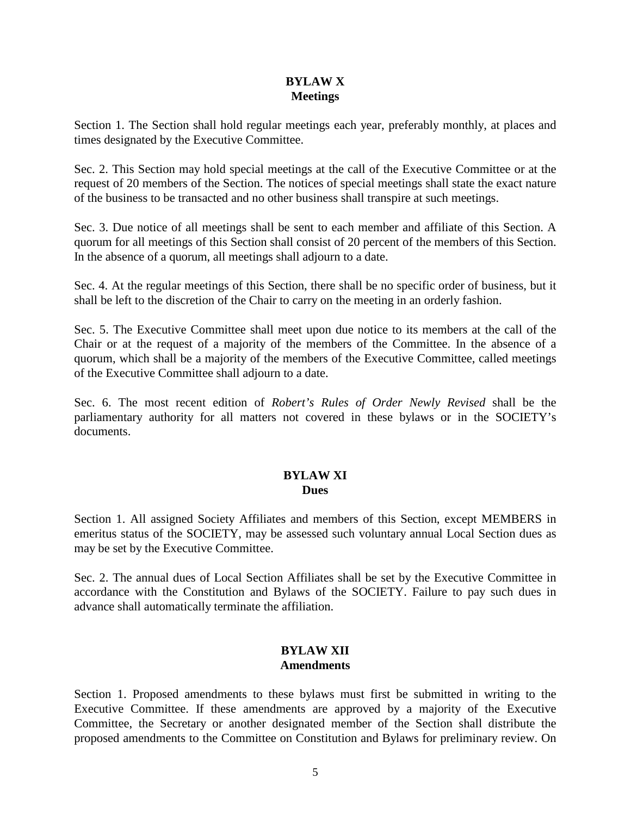## **BYLAW X Meetings**

Section 1. The Section shall hold regular meetings each year, preferably monthly, at places and times designated by the Executive Committee.

Sec. 2. This Section may hold special meetings at the call of the Executive Committee or at the request of 20 members of the Section. The notices of special meetings shall state the exact nature of the business to be transacted and no other business shall transpire at such meetings.

Sec. 3. Due notice of all meetings shall be sent to each member and affiliate of this Section. A quorum for all meetings of this Section shall consist of 20 percent of the members of this Section. In the absence of a quorum, all meetings shall adjourn to a date.

Sec. 4. At the regular meetings of this Section, there shall be no specific order of business, but it shall be left to the discretion of the Chair to carry on the meeting in an orderly fashion.

Sec. 5. The Executive Committee shall meet upon due notice to its members at the call of the Chair or at the request of a majority of the members of the Committee. In the absence of a quorum, which shall be a majority of the members of the Executive Committee, called meetings of the Executive Committee shall adjourn to a date.

Sec. 6. The most recent edition of *Robert's Rules of Order Newly Revised* shall be the parliamentary authority for all matters not covered in these bylaws or in the SOCIETY's documents.

# **BYLAW XI Dues**

Section 1. All assigned Society Affiliates and members of this Section, except MEMBERS in emeritus status of the SOCIETY, may be assessed such voluntary annual Local Section dues as may be set by the Executive Committee.

Sec. 2. The annual dues of Local Section Affiliates shall be set by the Executive Committee in accordance with the Constitution and Bylaws of the SOCIETY. Failure to pay such dues in advance shall automatically terminate the affiliation.

# **BYLAW XII Amendments**

Section 1. Proposed amendments to these bylaws must first be submitted in writing to the Executive Committee. If these amendments are approved by a majority of the Executive Committee, the Secretary or another designated member of the Section shall distribute the proposed amendments to the Committee on Constitution and Bylaws for preliminary review. On